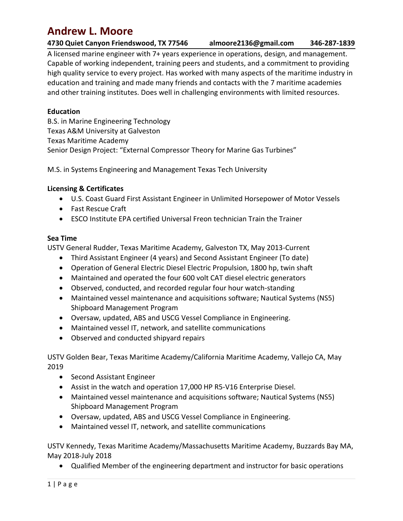Andrew L. Moore<br>
4730 Quiet Canyon Friendswood, TX 77546 almoore2136@gmail.com<br>
A licensed marine engineer with 7+ years experience in operations, design, and mar<br>
Capable of working independent, training peers and student **Andrew L. Moore**<br> **Andrew L. Moore**<br> **Alicensed marine engineer with 7+ years experience in operations, design, and management.**<br>
Capable of working independent, training peers and students, and a commitment to providing **Andrew L. Moore**<br> **Andrew L. Moore**<br>
Alicensed marine engineer with 7+ years experience in operations, design, and management.<br>
Capable of working independent, training peers and students, and a commitment to providing<br>
h **Andrew L. Moore**<br> **Andrew L. Moore**<br>
Alicensed marine engineer with 7+ years experience in operations, design, and management.<br>
Capable of working independent, training peers and students, and a commitment to providing<br>
h **Andrew L. Moore**<br> **Andrew L. Moore**<br> **Alicensed marine engineer with 7+ years experience in operations, design, and management.**<br>
Capable of working independent, training peers and students, and a commitment to providing<br> **Andrew L. Moore**<br> **Andrew L. Moore**<br> **Alicensed marine engineer with 7+ years experience in operations, design, and management.**<br>
Capable of working independent, training peers and students, and a commitment to providing<br> **Andrew L. Moore**<br> **Andrew L. Moore**<br> **Alicensed marine engineer with 7+ years experience in operations, design, and management.**<br>
Capable of working independent, training peers and students, and a commitment to providing<br> **Andrew L. Moore**<br> **Andrew L. Moore**<br> **Alicensed marine engineer with 7+ years experience in operations, design, and management.**<br>
Capable of working independent, training peers and students, and a commitment to providing<br> **Andrew L. Moore**<br> **Andrew L. Moore**<br> **Alicensed marine engineer with 7+ years experience in operations, design, and managemen**<br>
Capable of working independent, training peers and students, and a commitment to providit<br>
hi **Andrew L. Moore**<br> **Andrew L. Moore**<br> **Andrew L. Moore**<br> **Andrew Example Academy** and **Academy** and **Access**<br> **Andrew Example Convergence in the Academy free Section**, and a commitment to<br>
high quality service to every pro **Andrew L. Moore**<br> **Alicensed marine engineer with 7+ years experience in operations, design, and management.**<br>
Capable of working independent, training peers and students, and a commitment to providing<br>
Inglatily service **Andrew L. Moore**<br> **Alicensed marine engineer with 7+ years experience in operations, design, and management.**<br>
Alicensed marine engineer with 7+ years experience in operations, design, and management.<br>
Capable of working **Andrew L. Moore**<br> **Andrews Care and The engineer with 7+ years experience in operations, design, and management.**<br>
Alicensed marine engineer with 7+ years experience in operations, design, and management.<br>
Capable of work

# Education

migh quality service to every project. Has worked with many aspects on<br>education and training and made many friends and contacts with the 7<br>and other training institutes. Does well in challenging environments wit<br>Education equadion and training and manue many frenous and conducts with the *y* manutine academies.<br> **Education**<br>
and other training institutes. Does well in challenging environments with limited resources.<br> **Education**<br>
B.S. in Ma

- 
- 
- 

- 
- 
- 
- 
- Maintenance and Management Texas Tech University<br>
Main Maritime Academy<br>
Main Systems Engineering and Management Texas Tech University<br>
Maing & Certificates<br>
 U.S. Coast Guard First Assistant Engineer in Unlimited Horsepo Design Project: "External Compressor Theory for Marine Gas Turbines"<br>Design Project: "External Compressor Theory for Marine Gas Turbines"<br>Systems Engineering and Management Texas Tech University<br>ISS Const Guard First Assis Coversaw, University Profiles and Complete Complished Versity<br>
CUS. Coast Guard First Assistant Engineer in Unlimited Horsepower of Motor Vessels<br>
CUS. Coast Guard First Assistant Engineer in Unlimited Horsepower of Motor • ESCO Institute EPA certified Universal Freon technician Train the Trainer<br>
Time<br>
V General Rudder, Texas Maritime Academy, Galveston TX, May 2013-Current<br>
• Third Assistant Engineer (4 years) and Second Assistant Engine eneral Rudder, Texas Maritime Academy, Galveston TX, May 2013-Current<br>Third Assistant Engineer (4 years) and Second Assistant Engineer (To date)<br>Operation of General Electric Diesel Electric Propulsion, 1800 hp, twin shaft Maintained vessel maintenance and acquisitions software; Nautical System<br>
Shipboard Management Program<br>
• Oversaw, updated, ABS and USCG Vessel Compliance in Engineering.<br>
• Maintained vessel IT, network, and satellite com
	-
	-
	-

• Maintained vessel IT, network, and satellite communications<br>• Maintained vessel IT, network, and satellite communications<br>• Observed and conducted shipyard repairs<br>1917 Golden Bear, Texas Maritime Academy/California Mari • U.S. Coast Guard First Assistant Engineer in Unlimited Horsepower of Motor Vessels<br>• Fast Rescue Craft<br>• ESCO Institute EPA certified Universal Freon technician Train the Trainer<br>• USTV General Rudder, Texas Maritime A 2019

- 
- 
- 
- 
- 

• Third Assistant Engineer (4 years) and Second Assistant Engineer (To date)<br>• Operation of General Electric Diesel Electric Propulsion, 1800 hp, twin shaft<br>• Maintained and operated the four 600 volt CAT diesel electric g • Observed, conducted, and recorded regular four hour watch-standing<br>
• Maintained vessel maintenance and acquisitions software; Nautical Systems (NS5)<br>
• Shipboard Management Program<br>
• Oversaw, updated, ABS and USCG Ves Shipboard Management Program<br>
• Oversaw, updated, ABS and USCG Vessel Compliance in Engineering.<br>
• Maintained vessel IT, network, and satellite communications<br>
• Maintained Wester IT, network, and satellite communications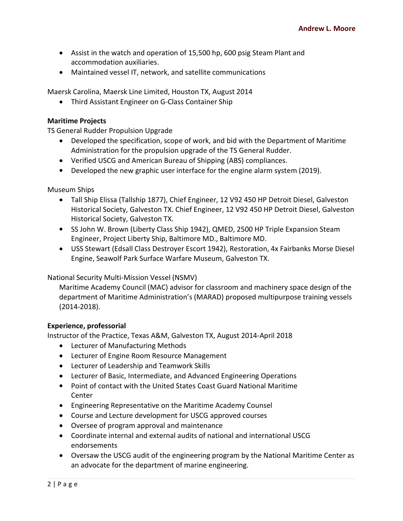- Andrew L. Moore<br>
 Assist in the watch and operation of 15,500 hp, 600 psig Steam Plant and<br>
 Maintained vessel IT, network, and satellite communications<br>
 Maintained vessel IT, network, and satellite communications<br>
 T Andrew L. Moore<br>
• Assist in the watch and operation of 15,500 hp, 600 psig Steam Plant and<br>
• Maintained vessel IT, network, and satellite communications<br>
• Maintained vessel IT, network, and satellite communications<br>
• T Andrew L. Moore<br>
• Assist in the watch and operation of 15,500 hp, 600 psig Steam Plant and<br>
• Maintained vessel IT, network, and satellite communications<br>
Maersk Carolina, Maersk Line Limited, Houston TX, August 2014<br>
• T Andrew L. Moore<br>
• Assist in the watch and operation of 15,500 hp, 600 psig Steam Plant and<br>
• Maintained vessel IT, network, and satellite communications<br>
• Maintained vessel IT, network, and satellite communications<br>
• T • Assist in the watch and operation of 15,500 hp, 600 psig Steam Plant a<br>
accommodation auxiliaries.<br>
• Maintained vessel IT, network, and satellite communications<br>
Marsk Carolina, Maersk Line Limited, Houston TX, August 2
	-

- Assist in the watch and operation of 15,500 hp, 600 psig Steam Plant and<br>accommodation auxiliaries.<br>• Maintained vessel IT, network, and satellite communications<br>Maersk Carolina, Maersk Line Limited, Houston TX, August 201 Assist in the watch and operation of 15,500 hp, 600 psig Steam Plant and<br>accommodation auxiliaries.<br>• Maintained vessel IT, network, and satellite communications<br>resk Carolina, Maersk Line Limited, Houston TX, August 2014<br>
	-
	-

- Andrew L. Moore<br>
 Assist in the watch and operation of 15,500 hp, 600 psig Steam Plant and<br>
 Commodation auxiliaries.<br>
 Maintained vessel IT, network, and satellite communications<br>
 Third Assistant Engineer on G-Class Andrew L. Moore<br>
• Assist in the watch and operation of 15,500 hp, 600 psig Steam Plant and<br>
• Maintained vessel IT, network, and satellite communications<br>
Maersk Carolina, Maersk Line Limited, Houston TX, August 2014<br>
• T Assist in the watch and operation of 15,500 hp, 600 psig Steam Plant and<br>accommodation auxiliaries.<br>Maintained vessel IT, network, and satellite communications<br>Carolina, Maersk Line Limited, Houston TX, August 2014<br>Third A Fraction and operator of Exploring, oxor paragretarian and accommodation auxiliaries.<br>
• Maintained vessel IT, network, and satellite communications<br>
• Third Assistant Engineer on G-Class Container Ship<br>
• Third Assistant Figure 2022 11, network, and satemee communimeations<br>
Finite Assistant Engineer on G-Class Container Ship<br>
Thine Projects<br>
Thine Projects<br>
Figure 11 Model of Propulsion Upgrade<br>
• Developed the specification, scope of work Calomia, muclass Cane Cameter, incustor-in, rangate cour-<br>Third Assistant Engineer on G-Class Container Ship<br>Park Surface Propulsion Upgrade<br>Developed the specification, scope of work, and bid with the Department of Mariti Maritime Projects<br>
TS General Rudder Propulsion Upgrade<br>
• Developed the specification, scope of work, and bid with the Department of Maritime<br>
Administration for the propulsion upgrade of the TS General Rudder.<br>
• Verifie When The Toplesian Upgrade<br>
Academy Council (Maritime Academy Council and Schemeral Rudder.<br>
Administration for the propulsion upgrade of the TS General Rudder.<br>
Academy Council (Mac) Control and American Bureau of Shippin enta moducar reputation to gerade of the TS General Rudder.<br>
• Developed the specification, scope of work, and bid with the Department of Maritime<br>
Administration for the propulsion upgrade of the TS General Rudder.<br>
• Ver Vernied Osco and Ainfrican Buead Or Sinpping (NBS) compirances.<br>
Developed the new graphic user interface for the engine alarm system (2<br>
Museum Ships<br>
• Tall Ship Elissa (Tallship 1877), Chief Engineer, 12 V92 450 HP Detr • Developed the new graphic user interface for the engine alarm system (2013).<br>
Museum Ships<br>
• Tall Ship Elissa (Tallship 1877), Chief Engineer, 12 V92 450 HP Detroit Diesel, Galveston<br>
Historical Society, Galveston TX. seum Ships<br>
er Tall Ship Ellissa (Tallship 1877), Chief Engineer, 12 V92 450 HP Detroit Diesel, Galveston<br>
• Tall Ship Ellissa (Tallship 1877), Chief Engineer, 12 V92 450 HP Detroit Diesel, Galveston<br>
• Historical Society,
	-
	-

(2014-2018). Engineering Representative on the Maritime Coursel (Northon). A Fairbanks Morse Diesel<br>
Engine, Seawolf Park Surface Warfare Museum, Galveston TX.<br>
Ional Security Multi-Mission Vessel (NSMV)<br>
Maritime Academy Council (MAC) ional Security Multi-Mission Vessel (NSMV)<br>Maritime Academy Council (MAC) advisor for classroom and machinery space design of the<br>department of Maritime Administration's (MARAD) proposed multipurpose training vessels<br>(2014 department of Maritime Administration's (MARAD) proposed multipurpose training vessels<br>
(2014-2018).<br> **erience, professorial**<br> **everturer of the Practice, Texas A&M, Galveston TX, August 2014-April 2018<br>
• Lecturer of Engi** 

- 
- 
- 
- 
- Experience, professorial<br>
Instructor of the Practice, Texas A&M, Galveston TX, August 2014-April 2014<br>
 Lecturer of Manufacturing Methods<br>
 Lecturer of Engine Room Resource Management<br>
 Lecturer of Leadeship and Teamwor Center
	-
	-
	-
	- endorsements
- 14-2018).<br>
Ince, professorial<br>
ror of the Practice, Texas A&M, Galveston TX, August 2014-April 2018<br>
Lecturer of Manufacturing Methods<br>
Lecturer of Eagine Room Resource Management<br>
Lecturer of Basic, Intermediate, and Adva